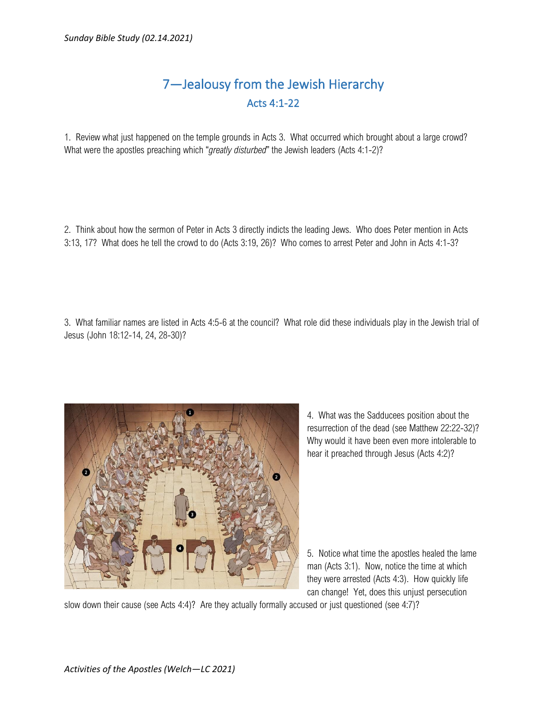## 7—Jealousy from the Jewish Hierarchy Acts 4:1-22

1. Review what just happened on the temple grounds in Acts 3. What occurred which brought about a large crowd? What were the apostles preaching which "*greatly disturbed*" the Jewish leaders (Acts 4:1-2)?

2. Think about how the sermon of Peter in Acts 3 directly indicts the leading Jews. Who does Peter mention in Acts 3:13, 17? What does he tell the crowd to do (Acts 3:19, 26)? Who comes to arrest Peter and John in Acts 4:1-3?

3. What familiar names are listed in Acts 4:5-6 at the council? What role did these individuals play in the Jewish trial of Jesus (John 18:12-14, 24, 28-30)?



4. What was the Sadducees position about the resurrection of the dead (see Matthew 22:22-32)? Why would it have been even more intolerable to hear it preached through Jesus (Acts 4:2)?

5. Notice what time the apostles healed the lame man (Acts 3:1). Now, notice the time at which they were arrested (Acts 4:3). How quickly life can change! Yet, does this unjust persecution

slow down their cause (see Acts 4:4)? Are they actually formally accused or just questioned (see 4:7)?